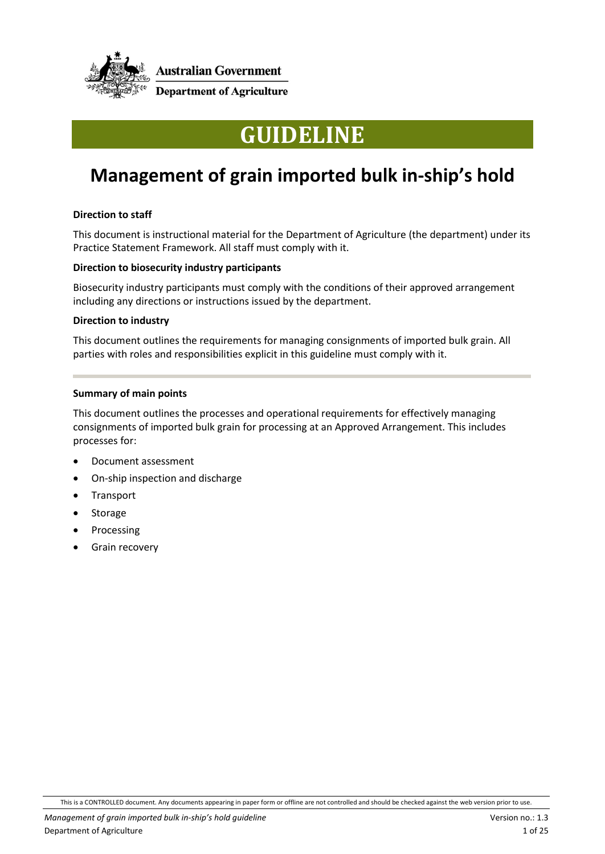

# **GUIDELINE**

## **Management of grain imported bulk in-ship's hold**

#### **Direction to staff**

This document is instructional material for the Department of Agriculture (the department) under its Practice Statement Framework. All staff must comply with it.

#### **Direction to biosecurity industry participants**

Biosecurity industry participants must comply with the conditions of their approved arrangement including any directions or instructions issued by the department.

#### **Direction to industry**

This document outlines the requirements for managing consignments of imported bulk grain. All parties with roles and responsibilities explicit in this guideline must comply with it.

#### **Summary of main points**

This document outlines the processes and operational requirements for effectively managing consignments of imported bulk grain for processing at an Approved Arrangement. This includes processes for:

- Document assessment
- On-ship inspection and discharge
- Transport
- **Storage**
- **Processing**
- Grain recovery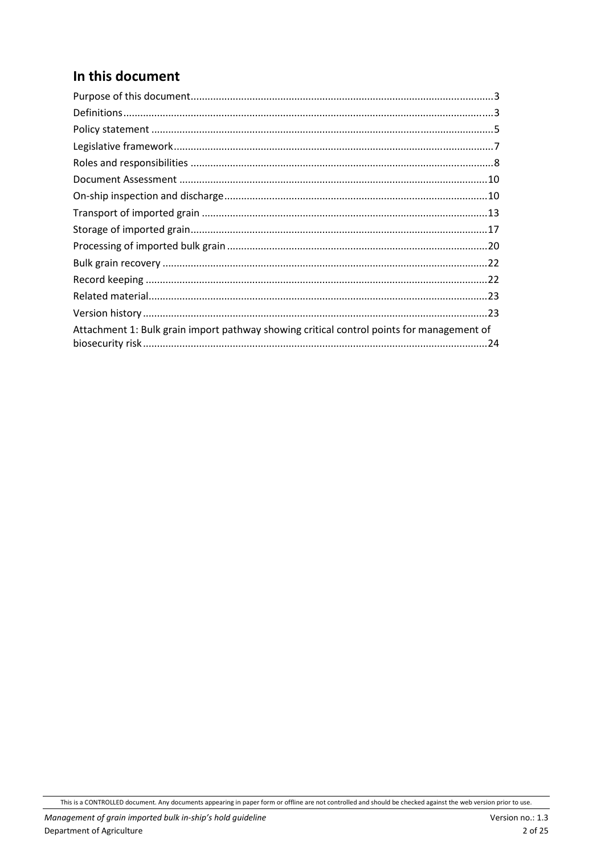## In this document

| Attachment 1: Bulk grain import pathway showing critical control points for management of |
|-------------------------------------------------------------------------------------------|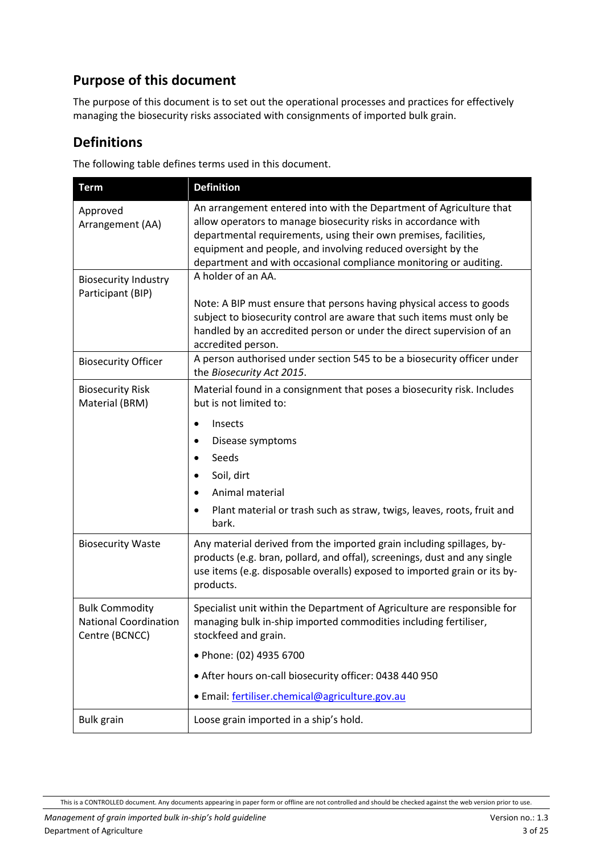### <span id="page-2-0"></span>**Purpose of this document**

The purpose of this document is to set out the operational processes and practices for effectively managing the biosecurity risks associated with consignments of imported bulk grain.

#### <span id="page-2-1"></span>**Definitions**

The following table defines terms used in this document.

| <b>Term</b>                                                             | <b>Definition</b>                                                                                                                                                                                                                                                                                                                              |
|-------------------------------------------------------------------------|------------------------------------------------------------------------------------------------------------------------------------------------------------------------------------------------------------------------------------------------------------------------------------------------------------------------------------------------|
| Approved<br>Arrangement (AA)                                            | An arrangement entered into with the Department of Agriculture that<br>allow operators to manage biosecurity risks in accordance with<br>departmental requirements, using their own premises, facilities,<br>equipment and people, and involving reduced oversight by the<br>department and with occasional compliance monitoring or auditing. |
| <b>Biosecurity Industry</b><br>Participant (BIP)                        | A holder of an AA.<br>Note: A BIP must ensure that persons having physical access to goods<br>subject to biosecurity control are aware that such items must only be<br>handled by an accredited person or under the direct supervision of an<br>accredited person.                                                                             |
| <b>Biosecurity Officer</b>                                              | A person authorised under section 545 to be a biosecurity officer under<br>the Biosecurity Act 2015.                                                                                                                                                                                                                                           |
| <b>Biosecurity Risk</b><br>Material (BRM)                               | Material found in a consignment that poses a biosecurity risk. Includes<br>but is not limited to:<br>Insects<br>$\bullet$<br>Disease symptoms<br>$\bullet$<br>Seeds<br>$\bullet$<br>Soil, dirt<br>Animal material<br>Plant material or trash such as straw, twigs, leaves, roots, fruit and<br>bark.                                           |
| <b>Biosecurity Waste</b>                                                | Any material derived from the imported grain including spillages, by-<br>products (e.g. bran, pollard, and offal), screenings, dust and any single<br>use items (e.g. disposable overalls) exposed to imported grain or its by-<br>products.                                                                                                   |
| <b>Bulk Commodity</b><br><b>National Coordination</b><br>Centre (BCNCC) | Specialist unit within the Department of Agriculture are responsible for<br>managing bulk in-ship imported commodities including fertiliser,<br>stockfeed and grain.<br>• Phone: (02) 4935 6700<br>• After hours on-call biosecurity officer: 0438 440 950<br>· Email: fertiliser.chemical@agriculture.gov.au                                  |
| <b>Bulk grain</b>                                                       | Loose grain imported in a ship's hold.                                                                                                                                                                                                                                                                                                         |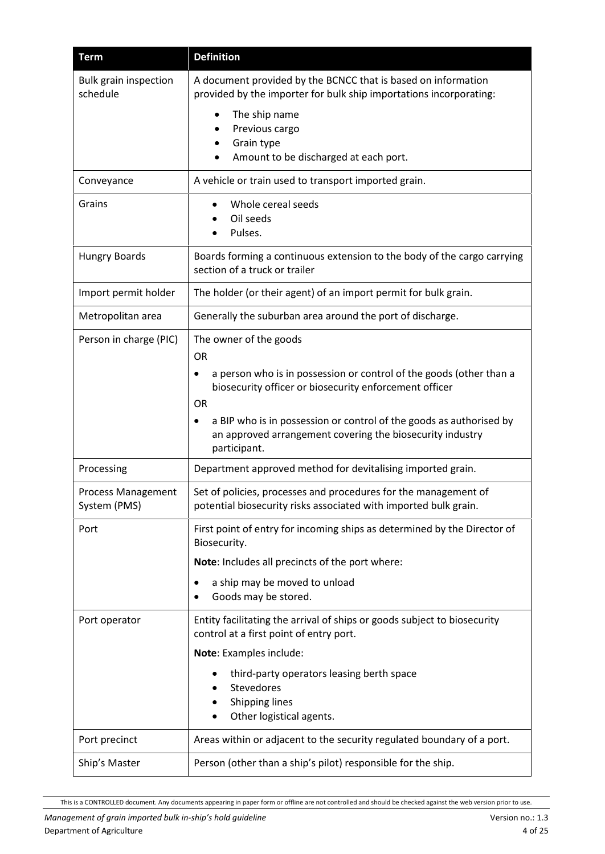| <b>Term</b>                              | <b>Definition</b>                                                                                                                                                                 |
|------------------------------------------|-----------------------------------------------------------------------------------------------------------------------------------------------------------------------------------|
| <b>Bulk grain inspection</b><br>schedule | A document provided by the BCNCC that is based on information<br>provided by the importer for bulk ship importations incorporating:                                               |
|                                          | The ship name<br>Previous cargo<br>Grain type<br>Amount to be discharged at each port.                                                                                            |
| Conveyance                               | A vehicle or train used to transport imported grain.                                                                                                                              |
| Grains                                   | Whole cereal seeds<br>Oil seeds<br>Pulses.                                                                                                                                        |
| <b>Hungry Boards</b>                     | Boards forming a continuous extension to the body of the cargo carrying<br>section of a truck or trailer                                                                          |
| Import permit holder                     | The holder (or their agent) of an import permit for bulk grain.                                                                                                                   |
| Metropolitan area                        | Generally the suburban area around the port of discharge.                                                                                                                         |
| Person in charge (PIC)                   | The owner of the goods<br><b>OR</b><br>a person who is in possession or control of the goods (other than a<br>biosecurity officer or biosecurity enforcement officer<br><b>OR</b> |
|                                          | a BIP who is in possession or control of the goods as authorised by<br>an approved arrangement covering the biosecurity industry<br>participant.                                  |
| Processing                               | Department approved method for devitalising imported grain.                                                                                                                       |
| Process Management<br>System (PMS)       | Set of policies, processes and procedures for the management of<br>potential biosecurity risks associated with imported bulk grain.                                               |
| Port                                     | First point of entry for incoming ships as determined by the Director of<br>Biosecurity.                                                                                          |
|                                          | Note: Includes all precincts of the port where:                                                                                                                                   |
|                                          | a ship may be moved to unload<br>Goods may be stored.<br>$\bullet$                                                                                                                |
| Port operator                            | Entity facilitating the arrival of ships or goods subject to biosecurity<br>control at a first point of entry port.                                                               |
|                                          | Note: Examples include:                                                                                                                                                           |
|                                          | third-party operators leasing berth space<br>Stevedores<br><b>Shipping lines</b>                                                                                                  |
|                                          | Other logistical agents.                                                                                                                                                          |
| Port precinct                            | Areas within or adjacent to the security regulated boundary of a port.                                                                                                            |
| Ship's Master                            | Person (other than a ship's pilot) responsible for the ship.                                                                                                                      |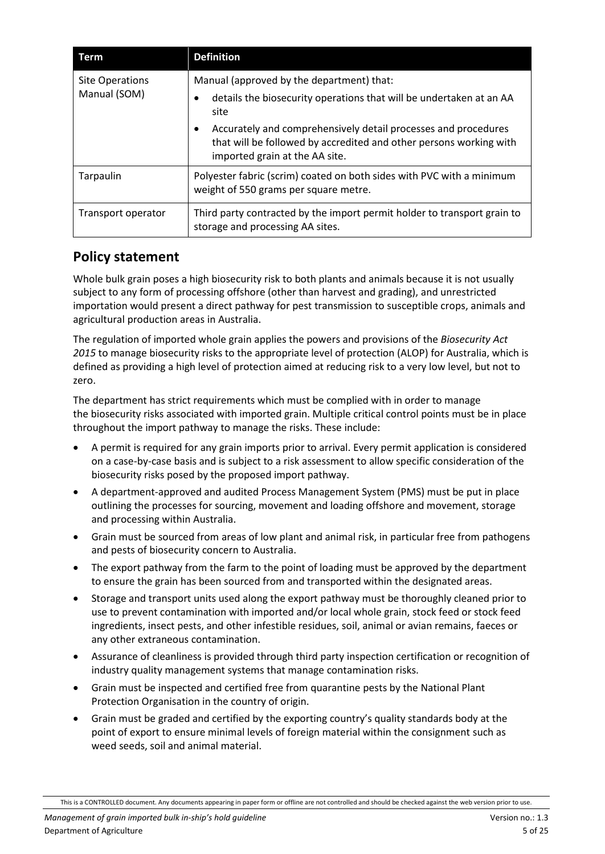| Term                            | <b>Definition</b>                                                                                                                                                                                                                                                                                       |
|---------------------------------|---------------------------------------------------------------------------------------------------------------------------------------------------------------------------------------------------------------------------------------------------------------------------------------------------------|
| Site Operations<br>Manual (SOM) | Manual (approved by the department) that:<br>details the biosecurity operations that will be undertaken at an AA<br>site<br>Accurately and comprehensively detail processes and procedures<br>٠<br>that will be followed by accredited and other persons working with<br>imported grain at the AA site. |
| Tarpaulin                       | Polyester fabric (scrim) coated on both sides with PVC with a minimum<br>weight of 550 grams per square metre.                                                                                                                                                                                          |
| Transport operator              | Third party contracted by the import permit holder to transport grain to<br>storage and processing AA sites.                                                                                                                                                                                            |

#### <span id="page-4-0"></span>**Policy statement**

Whole bulk grain poses a high biosecurity risk to both plants and animals because it is not usually subject to any form of processing offshore (other than harvest and grading), and unrestricted importation would present a direct pathway for pest transmission to susceptible crops, animals and agricultural production areas in Australia.

The regulation of imported whole grain applies the powers and provisions of the *Biosecurity Act 2015* to manage biosecurity risks to the appropriate level of protection (ALOP) for Australia, which is defined as providing a high level of protection aimed at reducing risk to a very low level, but not to zero.

The department has strict requirements which must be complied with in order to manage the biosecurity risks associated with imported grain. Multiple critical control points must be in place throughout the import pathway to manage the risks. These include:

- A permit is required for any grain imports prior to arrival. Every permit application is considered on a case-by-case basis and is subject to a risk assessment to allow specific consideration of the biosecurity risks posed by the proposed import pathway.
- A department-approved and audited Process Management System (PMS) must be put in place outlining the processes for sourcing, movement and loading offshore and movement, storage and processing within Australia.
- Grain must be sourced from areas of low plant and animal risk, in particular free from pathogens and pests of biosecurity concern to Australia.
- The export pathway from the farm to the point of loading must be approved by the department to ensure the grain has been sourced from and transported within the designated areas.
- Storage and transport units used along the export pathway must be thoroughly cleaned prior to use to prevent contamination with imported and/or local whole grain, stock feed or stock feed ingredients, insect pests, and other infestible residues, soil, animal or avian remains, faeces or any other extraneous contamination.
- Assurance of cleanliness is provided through third party inspection certification or recognition of industry quality management systems that manage contamination risks.
- Grain must be inspected and certified free from quarantine pests by the National Plant Protection Organisation in the country of origin.
- Grain must be graded and certified by the exporting country's quality standards body at the point of export to ensure minimal levels of foreign material within the consignment such as weed seeds, soil and animal material.

This is a CONTROLLED document. Any documents appearing in paper form or offline are not controlled and should be checked against the web version prior to use.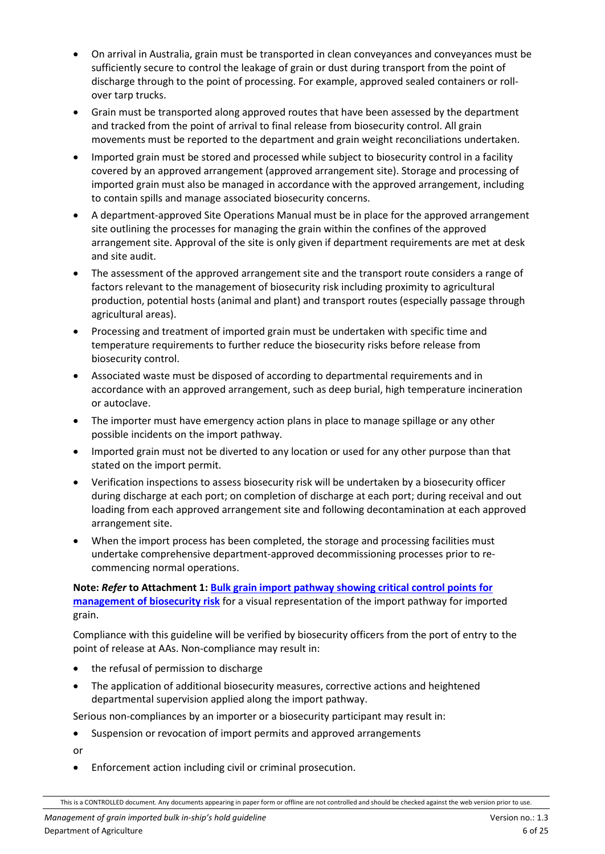- On arrival in Australia, grain must be transported in clean conveyances and conveyances must be sufficiently secure to control the leakage of grain or dust during transport from the point of discharge through to the point of processing. For example, approved sealed containers or rollover tarp trucks.
- Grain must be transported along approved routes that have been assessed by the department and tracked from the point of arrival to final release from biosecurity control. All grain movements must be reported to the department and grain weight reconciliations undertaken.
- Imported grain must be stored and processed while subject to biosecurity control in a facility covered by an approved arrangement (approved arrangement site). Storage and processing of imported grain must also be managed in accordance with the approved arrangement, including to contain spills and manage associated biosecurity concerns.
- A department-approved Site Operations Manual must be in place for the approved arrangement site outlining the processes for managing the grain within the confines of the approved arrangement site. Approval of the site is only given if department requirements are met at desk and site audit.
- The assessment of the approved arrangement site and the transport route considers a range of factors relevant to the management of biosecurity risk including proximity to agricultural production, potential hosts (animal and plant) and transport routes (especially passage through agricultural areas).
- Processing and treatment of imported grain must be undertaken with specific time and temperature requirements to further reduce the biosecurity risks before release from biosecurity control.
- Associated waste must be disposed of according to departmental requirements and in accordance with an approved arrangement, such as deep burial, high temperature incineration or autoclave.
- The importer must have emergency action plans in place to manage spillage or any other possible incidents on the import pathway.
- Imported grain must not be diverted to any location or used for any other purpose than that stated on the import permit.
- Verification inspections to assess biosecurity risk will be undertaken by a biosecurity officer during discharge at each port; on completion of discharge at each port; during receival and out loading from each approved arrangement site and following decontamination at each approved arrangement site.
- When the import process has been completed, the storage and processing facilities must undertake comprehensive department-approved decommissioning processes prior to recommencing normal operations.

**Note:** *Refer* **to Attachment 1: [Bulk grain import pathway showing critical control points for](#page-23-0)  [management of biosecurity risk](#page-23-0)** for a visual representation of the import pathway for imported grain.

Compliance with this guideline will be verified by biosecurity officers from the port of entry to the point of release at AAs. Non-compliance may result in:

- the refusal of permission to discharge
- The application of additional biosecurity measures, corrective actions and heightened departmental supervision applied along the import pathway.

Serious non-compliances by an importer or a biosecurity participant may result in:

• Suspension or revocation of import permits and approved arrangements

or

• Enforcement action including civil or criminal prosecution.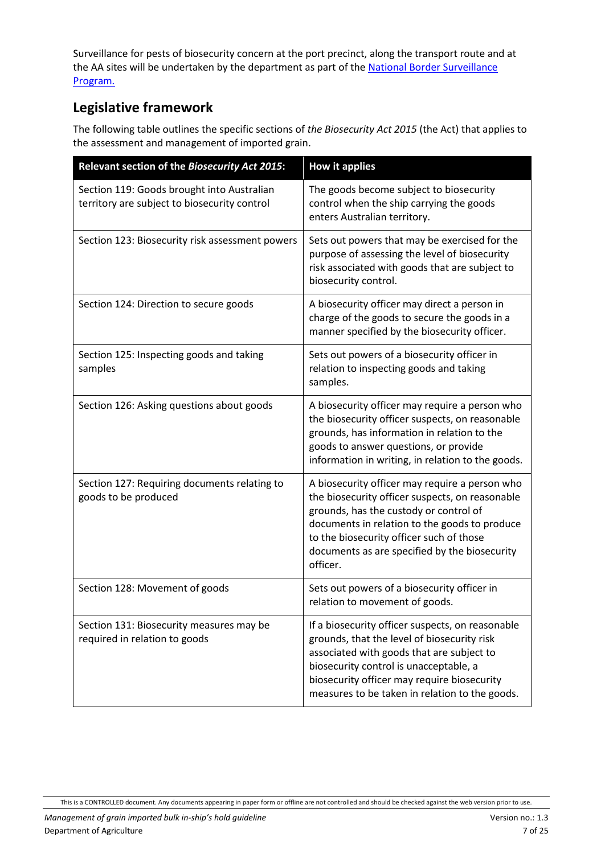Surveillance for pests of biosecurity concern at the port precinct, along the transport route and at the AA sites will be undertaken by the department as part of the National Border Surveillance [Program](http://www.agriculture.gov.au/biosecurity/australia/border-surveillance)*.*

#### <span id="page-6-0"></span>**Legislative framework**

The following table outlines the specific sections of *the Biosecurity Act 2015* (the Act) that applies to the assessment and management of imported grain.

| Relevant section of the Biosecurity Act 2015:                                              | <b>How it applies</b>                                                                                                                                                                                                                                                                                 |
|--------------------------------------------------------------------------------------------|-------------------------------------------------------------------------------------------------------------------------------------------------------------------------------------------------------------------------------------------------------------------------------------------------------|
| Section 119: Goods brought into Australian<br>territory are subject to biosecurity control | The goods become subject to biosecurity<br>control when the ship carrying the goods<br>enters Australian territory.                                                                                                                                                                                   |
| Section 123: Biosecurity risk assessment powers                                            | Sets out powers that may be exercised for the<br>purpose of assessing the level of biosecurity<br>risk associated with goods that are subject to<br>biosecurity control.                                                                                                                              |
| Section 124: Direction to secure goods                                                     | A biosecurity officer may direct a person in<br>charge of the goods to secure the goods in a<br>manner specified by the biosecurity officer.                                                                                                                                                          |
| Section 125: Inspecting goods and taking<br>samples                                        | Sets out powers of a biosecurity officer in<br>relation to inspecting goods and taking<br>samples.                                                                                                                                                                                                    |
| Section 126: Asking questions about goods                                                  | A biosecurity officer may require a person who<br>the biosecurity officer suspects, on reasonable<br>grounds, has information in relation to the<br>goods to answer questions, or provide<br>information in writing, in relation to the goods.                                                        |
| Section 127: Requiring documents relating to<br>goods to be produced                       | A biosecurity officer may require a person who<br>the biosecurity officer suspects, on reasonable<br>grounds, has the custody or control of<br>documents in relation to the goods to produce<br>to the biosecurity officer such of those<br>documents as are specified by the biosecurity<br>officer. |
| Section 128: Movement of goods                                                             | Sets out powers of a biosecurity officer in<br>relation to movement of goods.                                                                                                                                                                                                                         |
| Section 131: Biosecurity measures may be<br>required in relation to goods                  | If a biosecurity officer suspects, on reasonable<br>grounds, that the level of biosecurity risk<br>associated with goods that are subject to<br>biosecurity control is unacceptable, a<br>biosecurity officer may require biosecurity<br>measures to be taken in relation to the goods.               |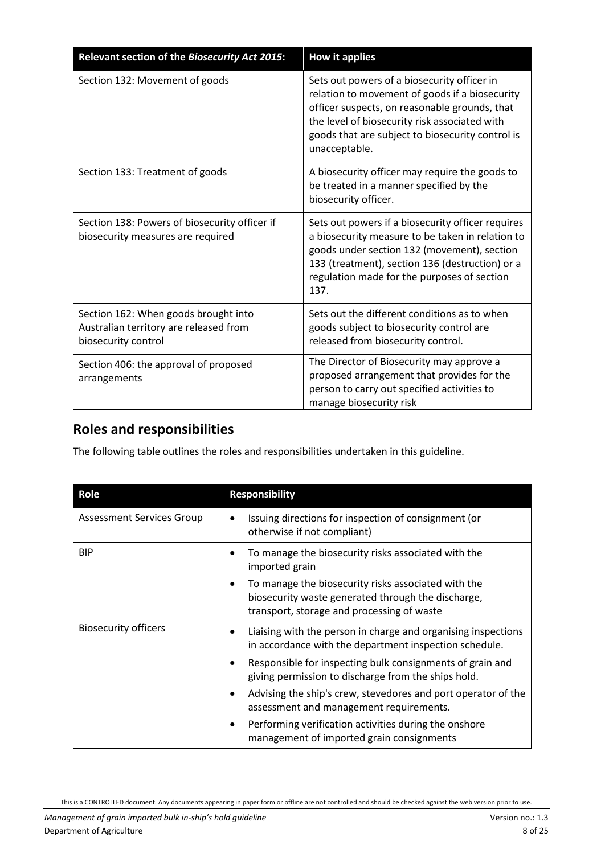| Relevant section of the Biosecurity Act 2015:                                                         | <b>How it applies</b>                                                                                                                                                                                                                                                |
|-------------------------------------------------------------------------------------------------------|----------------------------------------------------------------------------------------------------------------------------------------------------------------------------------------------------------------------------------------------------------------------|
| Section 132: Movement of goods                                                                        | Sets out powers of a biosecurity officer in<br>relation to movement of goods if a biosecurity<br>officer suspects, on reasonable grounds, that<br>the level of biosecurity risk associated with<br>goods that are subject to biosecurity control is<br>unacceptable. |
| Section 133: Treatment of goods                                                                       | A biosecurity officer may require the goods to<br>be treated in a manner specified by the<br>biosecurity officer.                                                                                                                                                    |
| Section 138: Powers of biosecurity officer if<br>biosecurity measures are required                    | Sets out powers if a biosecurity officer requires<br>a biosecurity measure to be taken in relation to<br>goods under section 132 (movement), section<br>133 (treatment), section 136 (destruction) or a<br>regulation made for the purposes of section<br>137.       |
| Section 162: When goods brought into<br>Australian territory are released from<br>biosecurity control | Sets out the different conditions as to when<br>goods subject to biosecurity control are<br>released from biosecurity control.                                                                                                                                       |
| Section 406: the approval of proposed<br>arrangements                                                 | The Director of Biosecurity may approve a<br>proposed arrangement that provides for the<br>person to carry out specified activities to<br>manage biosecurity risk                                                                                                    |

## <span id="page-7-0"></span>**Roles and responsibilities**

The following table outlines the roles and responsibilities undertaken in this guideline.

| Role                             | <b>Responsibility</b>                                                                                                                                   |
|----------------------------------|---------------------------------------------------------------------------------------------------------------------------------------------------------|
| <b>Assessment Services Group</b> | Issuing directions for inspection of consignment (or<br>otherwise if not compliant)                                                                     |
| <b>BIP</b>                       | To manage the biosecurity risks associated with the<br>imported grain                                                                                   |
|                                  | To manage the biosecurity risks associated with the<br>biosecurity waste generated through the discharge,<br>transport, storage and processing of waste |
| <b>Biosecurity officers</b>      | Liaising with the person in charge and organising inspections<br>in accordance with the department inspection schedule.                                 |
|                                  | Responsible for inspecting bulk consignments of grain and<br>٠<br>giving permission to discharge from the ships hold.                                   |
|                                  | Advising the ship's crew, stevedores and port operator of the<br>$\bullet$<br>assessment and management requirements.                                   |
|                                  | Performing verification activities during the onshore<br>management of imported grain consignments                                                      |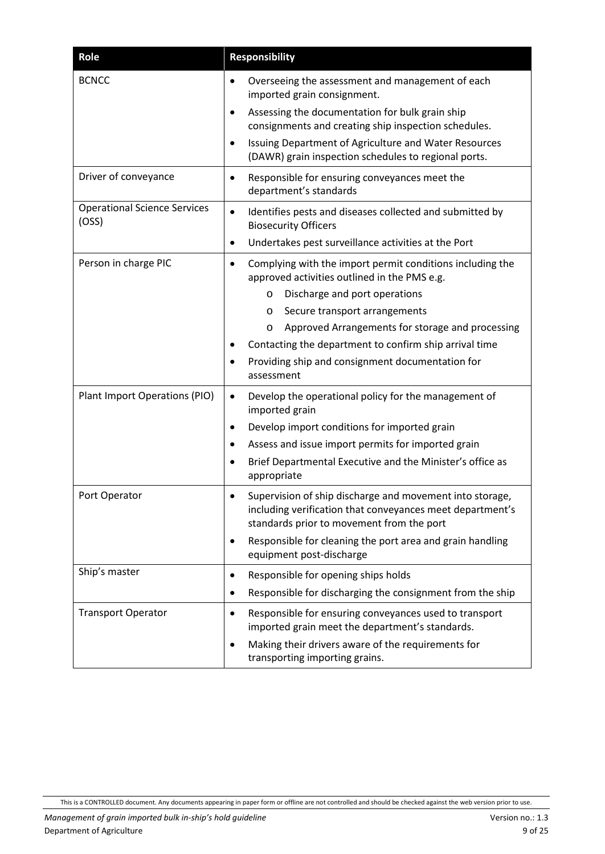| Role                                         | <b>Responsibility</b>                                                                                                                                                                                                                                                                                                    |
|----------------------------------------------|--------------------------------------------------------------------------------------------------------------------------------------------------------------------------------------------------------------------------------------------------------------------------------------------------------------------------|
| <b>BCNCC</b>                                 | Overseeing the assessment and management of each<br>imported grain consignment.<br>Assessing the documentation for bulk grain ship<br>$\bullet$<br>consignments and creating ship inspection schedules.<br>Issuing Department of Agriculture and Water Resources<br>(DAWR) grain inspection schedules to regional ports. |
|                                              |                                                                                                                                                                                                                                                                                                                          |
| Driver of conveyance                         | Responsible for ensuring conveyances meet the<br>department's standards                                                                                                                                                                                                                                                  |
| <b>Operational Science Services</b><br>(OSS) | Identifies pests and diseases collected and submitted by<br>$\bullet$<br><b>Biosecurity Officers</b><br>Undertakes pest surveillance activities at the Port<br>٠                                                                                                                                                         |
| Person in charge PIC                         | Complying with the import permit conditions including the<br>approved activities outlined in the PMS e.g.                                                                                                                                                                                                                |
|                                              | Discharge and port operations<br>O                                                                                                                                                                                                                                                                                       |
|                                              | Secure transport arrangements<br>O                                                                                                                                                                                                                                                                                       |
|                                              | Approved Arrangements for storage and processing<br>O                                                                                                                                                                                                                                                                    |
|                                              | Contacting the department to confirm ship arrival time                                                                                                                                                                                                                                                                   |
|                                              | Providing ship and consignment documentation for<br>assessment                                                                                                                                                                                                                                                           |
| Plant Import Operations (PIO)                | Develop the operational policy for the management of<br>٠<br>imported grain                                                                                                                                                                                                                                              |
|                                              | Develop import conditions for imported grain                                                                                                                                                                                                                                                                             |
|                                              | Assess and issue import permits for imported grain                                                                                                                                                                                                                                                                       |
|                                              | Brief Departmental Executive and the Minister's office as<br>appropriate                                                                                                                                                                                                                                                 |
| Port Operator                                | Supervision of ship discharge and movement into storage<br>including verification that conveyances meet department's<br>standards prior to movement from the port                                                                                                                                                        |
|                                              | Responsible for cleaning the port area and grain handling<br>equipment post-discharge                                                                                                                                                                                                                                    |
| Ship's master                                | Responsible for opening ships holds<br>٠                                                                                                                                                                                                                                                                                 |
|                                              | Responsible for discharging the consignment from the ship<br>$\bullet$                                                                                                                                                                                                                                                   |
| <b>Transport Operator</b>                    | Responsible for ensuring conveyances used to transport<br>٠<br>imported grain meet the department's standards.                                                                                                                                                                                                           |
|                                              | Making their drivers aware of the requirements for<br>transporting importing grains.                                                                                                                                                                                                                                     |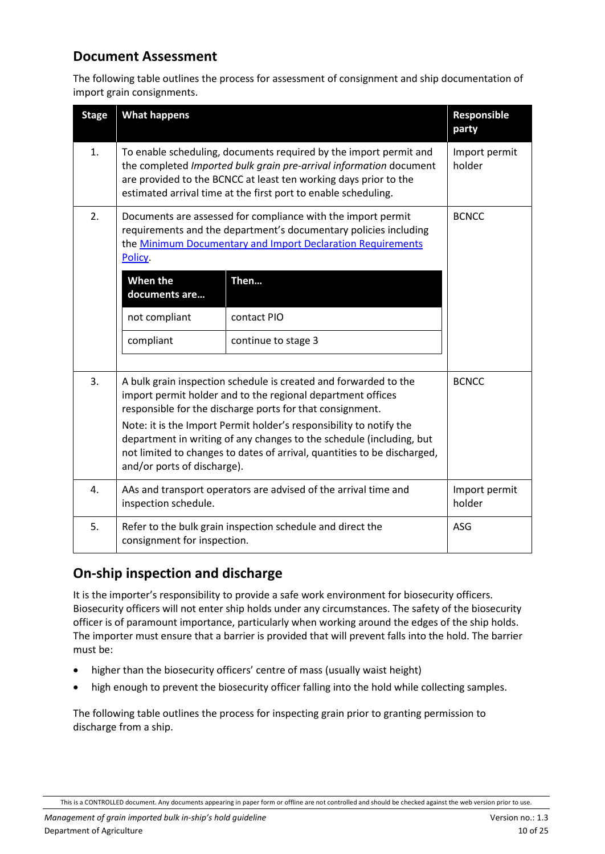#### <span id="page-9-0"></span>**Document Assessment**

The following table outlines the process for assessment of consignment and ship documentation of import grain consignments.

| <b>Stage</b> | <b>What happens</b>                                                                                                                                                                                                                                                                                                                                                                                                                                    |                     | Responsible<br>party    |
|--------------|--------------------------------------------------------------------------------------------------------------------------------------------------------------------------------------------------------------------------------------------------------------------------------------------------------------------------------------------------------------------------------------------------------------------------------------------------------|---------------------|-------------------------|
| 1.           | To enable scheduling, documents required by the import permit and<br>the completed Imported bulk grain pre-arrival information document<br>are provided to the BCNCC at least ten working days prior to the<br>estimated arrival time at the first port to enable scheduling.                                                                                                                                                                          |                     | Import permit<br>holder |
| 2.           | Documents are assessed for compliance with the import permit<br>requirements and the department's documentary policies including<br>the Minimum Documentary and Import Declaration Requirements<br>Policy.                                                                                                                                                                                                                                             |                     | <b>BCNCC</b>            |
|              | When the<br>documents are                                                                                                                                                                                                                                                                                                                                                                                                                              | Then                |                         |
|              | not compliant                                                                                                                                                                                                                                                                                                                                                                                                                                          | contact PIO         |                         |
|              | compliant                                                                                                                                                                                                                                                                                                                                                                                                                                              | continue to stage 3 |                         |
| 3.           | A bulk grain inspection schedule is created and forwarded to the<br>import permit holder and to the regional department offices<br>responsible for the discharge ports for that consignment.<br>Note: it is the Import Permit holder's responsibility to notify the<br>department in writing of any changes to the schedule (including, but<br>not limited to changes to dates of arrival, quantities to be discharged,<br>and/or ports of discharge). |                     | <b>BCNCC</b>            |
| 4.           | AAs and transport operators are advised of the arrival time and<br>inspection schedule.                                                                                                                                                                                                                                                                                                                                                                |                     | Import permit<br>holder |
| 5.           | Refer to the bulk grain inspection schedule and direct the<br>consignment for inspection.                                                                                                                                                                                                                                                                                                                                                              |                     | ASG                     |

#### <span id="page-9-1"></span>**On-ship inspection and discharge**

It is the importer's responsibility to provide a safe work environment for biosecurity officers. Biosecurity officers will not enter ship holds under any circumstances. The safety of the biosecurity officer is of paramount importance, particularly when working around the edges of the ship holds. The importer must ensure that a barrier is provided that will prevent falls into the hold. The barrier must be:

- higher than the biosecurity officers' centre of mass (usually waist height)
- high enough to prevent the biosecurity officer falling into the hold while collecting samples.

The following table outlines the process for inspecting grain prior to granting permission to discharge from a ship.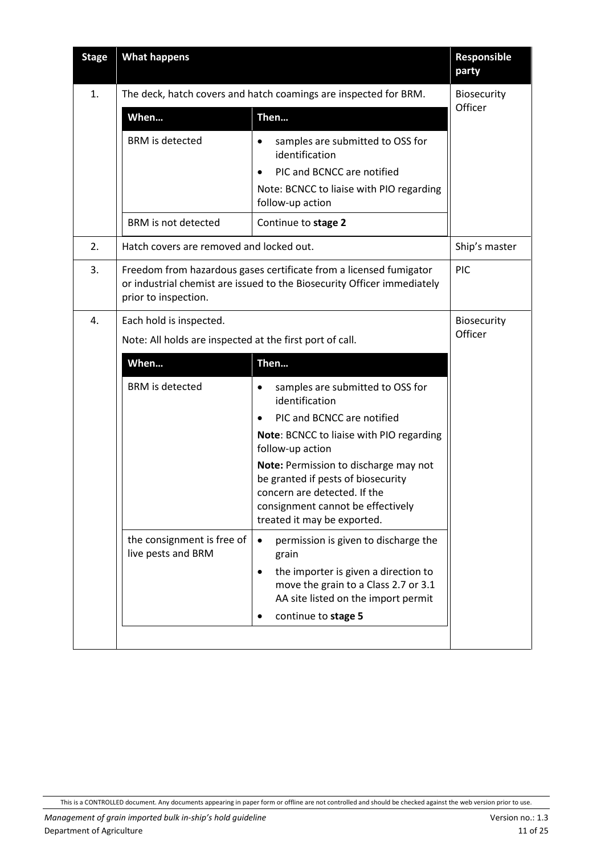| <b>Stage</b> | <b>What happens</b>                                                                                                                                                   |                                                                                                                                                                                 | <b>Responsible</b><br>party |
|--------------|-----------------------------------------------------------------------------------------------------------------------------------------------------------------------|---------------------------------------------------------------------------------------------------------------------------------------------------------------------------------|-----------------------------|
| 1.           | The deck, hatch covers and hatch coamings are inspected for BRM.                                                                                                      |                                                                                                                                                                                 | Biosecurity                 |
|              | When                                                                                                                                                                  | Then                                                                                                                                                                            | Officer                     |
|              | <b>BRM</b> is detected                                                                                                                                                | samples are submitted to OSS for<br>$\bullet$<br>identification                                                                                                                 |                             |
|              |                                                                                                                                                                       | PIC and BCNCC are notified<br>$\bullet$                                                                                                                                         |                             |
|              |                                                                                                                                                                       | Note: BCNCC to liaise with PIO regarding<br>follow-up action                                                                                                                    |                             |
|              | <b>BRM</b> is not detected                                                                                                                                            | Continue to stage 2                                                                                                                                                             |                             |
| 2.           | Hatch covers are removed and locked out.                                                                                                                              |                                                                                                                                                                                 | Ship's master               |
| 3.           | Freedom from hazardous gases certificate from a licensed fumigator<br>or industrial chemist are issued to the Biosecurity Officer immediately<br>prior to inspection. |                                                                                                                                                                                 | PIC                         |
| 4.           | Each hold is inspected.                                                                                                                                               |                                                                                                                                                                                 | Biosecurity                 |
|              | Note: All holds are inspected at the first port of call.                                                                                                              |                                                                                                                                                                                 | Officer                     |
|              | When                                                                                                                                                                  | Then                                                                                                                                                                            |                             |
|              | <b>BRM</b> is detected                                                                                                                                                | samples are submitted to OSS for<br>$\bullet$<br>identification                                                                                                                 |                             |
|              |                                                                                                                                                                       | PIC and BCNCC are notified                                                                                                                                                      |                             |
|              |                                                                                                                                                                       | Note: BCNCC to liaise with PIO regarding<br>follow-up action                                                                                                                    |                             |
|              |                                                                                                                                                                       | Note: Permission to discharge may not<br>be granted if pests of biosecurity<br>concern are detected. If the<br>consignment cannot be effectively<br>treated it may be exported. |                             |
|              | the consignment is free of<br>live pests and BRM                                                                                                                      | permission is given to discharge the<br>$\bullet$<br>grain                                                                                                                      |                             |
|              |                                                                                                                                                                       | the importer is given a direction to<br>$\bullet$<br>move the grain to a Class 2.7 or 3.1<br>AA site listed on the import permit                                                |                             |
|              |                                                                                                                                                                       | continue to stage 5<br>٠                                                                                                                                                        |                             |
|              |                                                                                                                                                                       |                                                                                                                                                                                 |                             |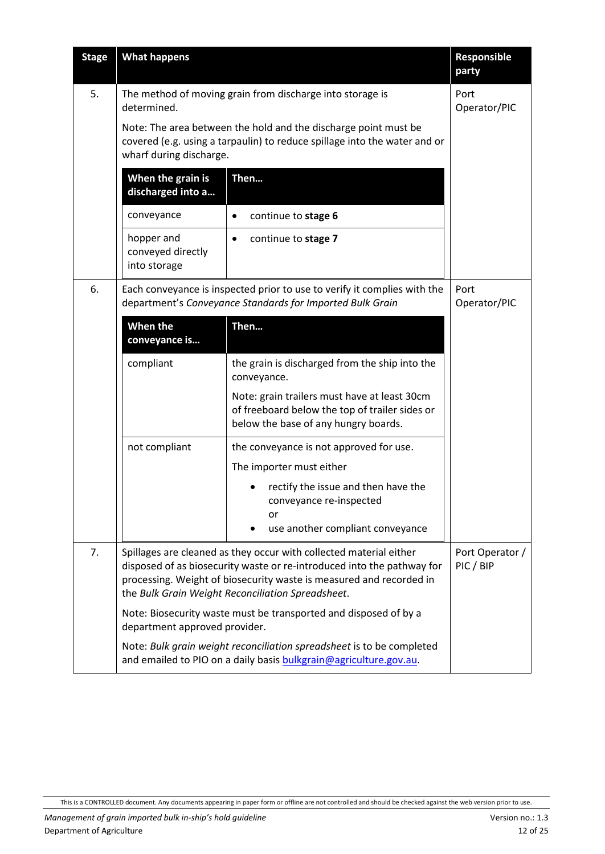| <b>Stage</b> | <b>What happens</b>                                                                                                                                                                                                                                                      |                                                                                                                                            | Responsible<br>party         |
|--------------|--------------------------------------------------------------------------------------------------------------------------------------------------------------------------------------------------------------------------------------------------------------------------|--------------------------------------------------------------------------------------------------------------------------------------------|------------------------------|
| 5.           | The method of moving grain from discharge into storage is<br>determined.                                                                                                                                                                                                 |                                                                                                                                            | Port<br>Operator/PIC         |
|              | Note: The area between the hold and the discharge point must be<br>covered (e.g. using a tarpaulin) to reduce spillage into the water and or<br>wharf during discharge.                                                                                                  |                                                                                                                                            |                              |
|              | When the grain is<br>discharged into a                                                                                                                                                                                                                                   | Then                                                                                                                                       |                              |
|              | conveyance                                                                                                                                                                                                                                                               | continue to stage 6<br>$\bullet$                                                                                                           |                              |
|              | hopper and<br>conveyed directly<br>into storage                                                                                                                                                                                                                          | continue to stage 7<br>٠                                                                                                                   |                              |
| 6.           | Each conveyance is inspected prior to use to verify it complies with the<br>department's Conveyance Standards for Imported Bulk Grain                                                                                                                                    |                                                                                                                                            | Port<br>Operator/PIC         |
|              | When the<br>conveyance is                                                                                                                                                                                                                                                | Then                                                                                                                                       |                              |
|              | compliant                                                                                                                                                                                                                                                                | the grain is discharged from the ship into the<br>conveyance.                                                                              |                              |
|              |                                                                                                                                                                                                                                                                          | Note: grain trailers must have at least 30cm<br>of freeboard below the top of trailer sides or<br>below the base of any hungry boards.     |                              |
|              | not compliant                                                                                                                                                                                                                                                            | the conveyance is not approved for use.                                                                                                    |                              |
|              |                                                                                                                                                                                                                                                                          | The importer must either                                                                                                                   |                              |
|              |                                                                                                                                                                                                                                                                          | rectify the issue and then have the<br>conveyance re-inspected<br>or<br>use another compliant conveyance                                   |                              |
| 7.           | Spillages are cleaned as they occur with collected material either<br>disposed of as biosecurity waste or re-introduced into the pathway for<br>processing. Weight of biosecurity waste is measured and recorded in<br>the Bulk Grain Weight Reconciliation Spreadsheet. |                                                                                                                                            | Port Operator /<br>PIC / BIP |
|              | department approved provider.                                                                                                                                                                                                                                            | Note: Biosecurity waste must be transported and disposed of by a                                                                           |                              |
|              |                                                                                                                                                                                                                                                                          | Note: Bulk grain weight reconciliation spreadsheet is to be completed<br>and emailed to PIO on a daily basis bulkgrain@agriculture.gov.au. |                              |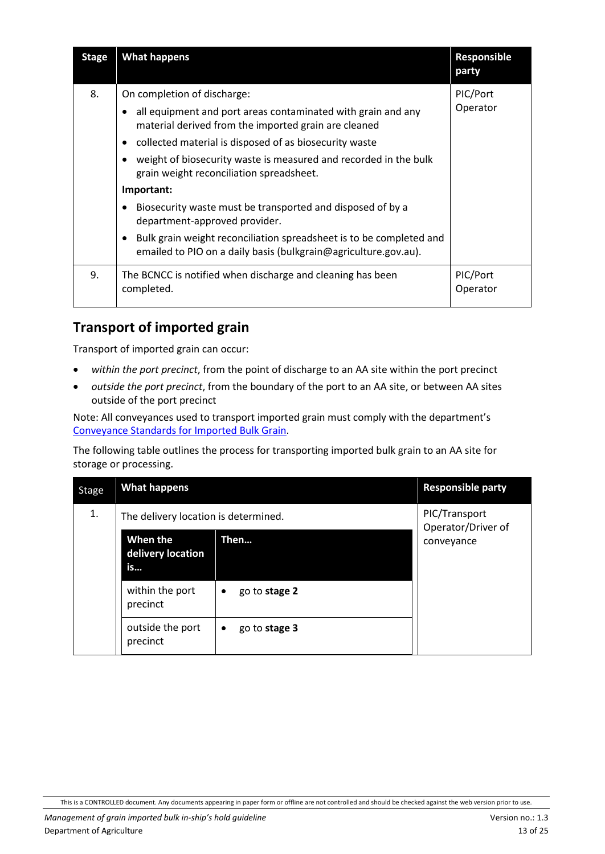| <b>Stage</b> | <b>What happens</b>                                                                                                                                                                                                                                                                                                                                                                                                                                                                                                                                                                                                      | Responsible<br>party |
|--------------|--------------------------------------------------------------------------------------------------------------------------------------------------------------------------------------------------------------------------------------------------------------------------------------------------------------------------------------------------------------------------------------------------------------------------------------------------------------------------------------------------------------------------------------------------------------------------------------------------------------------------|----------------------|
| 8.           | On completion of discharge:<br>all equipment and port areas contaminated with grain and any<br>$\bullet$<br>material derived from the imported grain are cleaned<br>collected material is disposed of as biosecurity waste<br>$\bullet$<br>weight of biosecurity waste is measured and recorded in the bulk<br>grain weight reconciliation spreadsheet.<br>Important:<br>Biosecurity waste must be transported and disposed of by a<br>٠<br>department-approved provider.<br>Bulk grain weight reconciliation spreadsheet is to be completed and<br>٠<br>emailed to PIO on a daily basis (bulkgrain@agriculture.gov.au). | PIC/Port<br>Operator |
| 9.           | The BCNCC is notified when discharge and cleaning has been<br>completed.                                                                                                                                                                                                                                                                                                                                                                                                                                                                                                                                                 | PIC/Port<br>Operator |

#### <span id="page-12-0"></span>**Transport of imported grain**

Transport of imported grain can occur:

- *within the port precinct*, from the point of discharge to an AA site within the port precinct
- *outside the port precinct*, from the boundary of the port to an AA site, or between AA sites outside of the port precinct

Note: All conveyances used to transport imported grain must comply with the department's Conveyance Standards for Imported Bulk Grain.

The following table outlines the process for transporting imported bulk grain to an AA site for storage or processing.

| <b>Stage</b> | <b>What happens</b>                  |                            | <b>Responsible party</b>            |
|--------------|--------------------------------------|----------------------------|-------------------------------------|
| 1.           | The delivery location is determined. |                            | PIC/Transport<br>Operator/Driver of |
|              | When the<br>delivery location<br>is  | Then                       | conveyance                          |
|              | within the port<br>precinct          | go to stage 2<br>$\bullet$ |                                     |
|              | outside the port<br>precinct         | go to stage 3<br>$\bullet$ |                                     |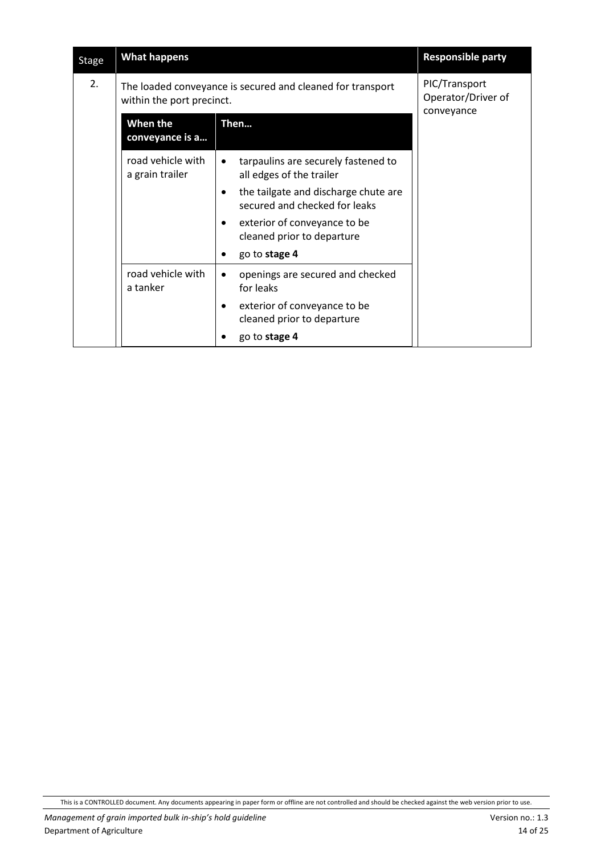| <b>Stage</b> | <b>What happens</b>                  |                                                                                    | <b>Responsible party</b>                          |  |
|--------------|--------------------------------------|------------------------------------------------------------------------------------|---------------------------------------------------|--|
| 2.           | within the port precinct.            | The loaded conveyance is secured and cleaned for transport                         | PIC/Transport<br>Operator/Driver of<br>conveyance |  |
|              | When the<br>conveyance is a          | Then                                                                               |                                                   |  |
|              | road vehicle with<br>a grain trailer | tarpaulins are securely fastened to<br>$\bullet$<br>all edges of the trailer       |                                                   |  |
|              |                                      | the tailgate and discharge chute are<br>$\bullet$<br>secured and checked for leaks |                                                   |  |
|              |                                      | exterior of conveyance to be<br>$\bullet$<br>cleaned prior to departure            |                                                   |  |
|              |                                      | go to stage 4<br>$\bullet$                                                         |                                                   |  |
|              | road vehicle with<br>a tanker        | openings are secured and checked<br>$\bullet$<br>for leaks                         |                                                   |  |
|              |                                      | exterior of conveyance to be<br>$\bullet$<br>cleaned prior to departure            |                                                   |  |
|              |                                      | go to stage 4                                                                      |                                                   |  |

This is a CONTROLLED document. Any documents appearing in paper form or offline are not controlled and should be checked against the web version prior to use.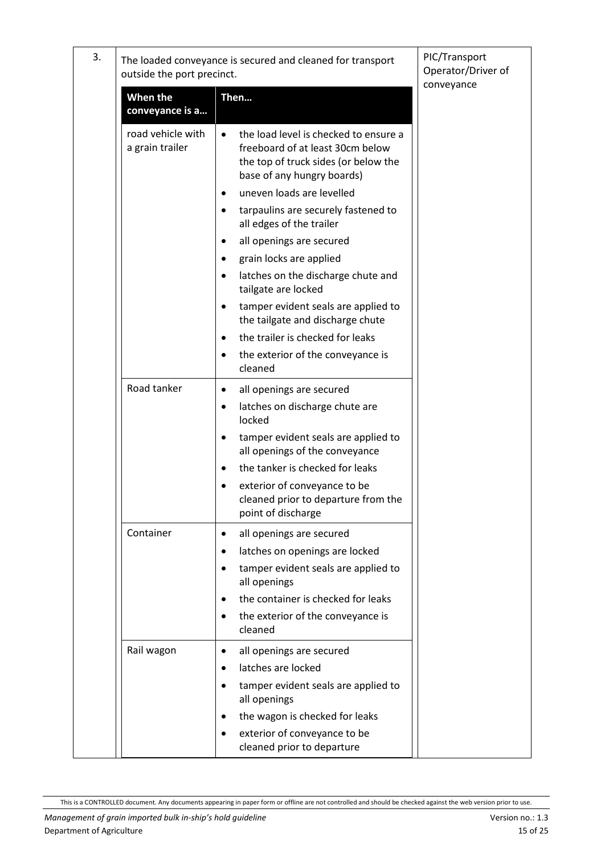| 3. | outside the port precinct.           | The loaded conveyance is secured and cleaned for transport                                                                                                                                                                                                                                                                                                                                 | PIC/Transport<br>Operator/Driver of<br>conveyance |
|----|--------------------------------------|--------------------------------------------------------------------------------------------------------------------------------------------------------------------------------------------------------------------------------------------------------------------------------------------------------------------------------------------------------------------------------------------|---------------------------------------------------|
|    | When the<br>conveyance is a          | Then                                                                                                                                                                                                                                                                                                                                                                                       |                                                   |
|    | road vehicle with<br>a grain trailer | the load level is checked to ensure a<br>$\bullet$<br>freeboard of at least 30cm below<br>the top of truck sides (or below the<br>base of any hungry boards)<br>uneven loads are levelled<br>٠<br>tarpaulins are securely fastened to<br>all edges of the trailer<br>all openings are secured<br>٠<br>grain locks are applied<br>latches on the discharge chute and<br>tailgate are locked |                                                   |
|    |                                      | tamper evident seals are applied to<br>the tailgate and discharge chute<br>the trailer is checked for leaks<br>the exterior of the conveyance is<br>cleaned                                                                                                                                                                                                                                |                                                   |
|    | Road tanker                          | all openings are secured<br>٠<br>latches on discharge chute are<br>٠<br>locked<br>tamper evident seals are applied to<br>all openings of the conveyance<br>the tanker is checked for leaks<br>$\bullet$<br>exterior of conveyance to be<br>cleaned prior to departure from the<br>point of discharge                                                                                       |                                                   |
|    | Container                            | all openings are secured<br>٠<br>latches on openings are locked<br>tamper evident seals are applied to<br>all openings<br>the container is checked for leaks<br>the exterior of the conveyance is<br>cleaned                                                                                                                                                                               |                                                   |
|    | Rail wagon                           | all openings are secured<br>$\bullet$<br>latches are locked<br>٠<br>tamper evident seals are applied to<br>all openings<br>the wagon is checked for leaks<br>exterior of conveyance to be<br>cleaned prior to departure                                                                                                                                                                    |                                                   |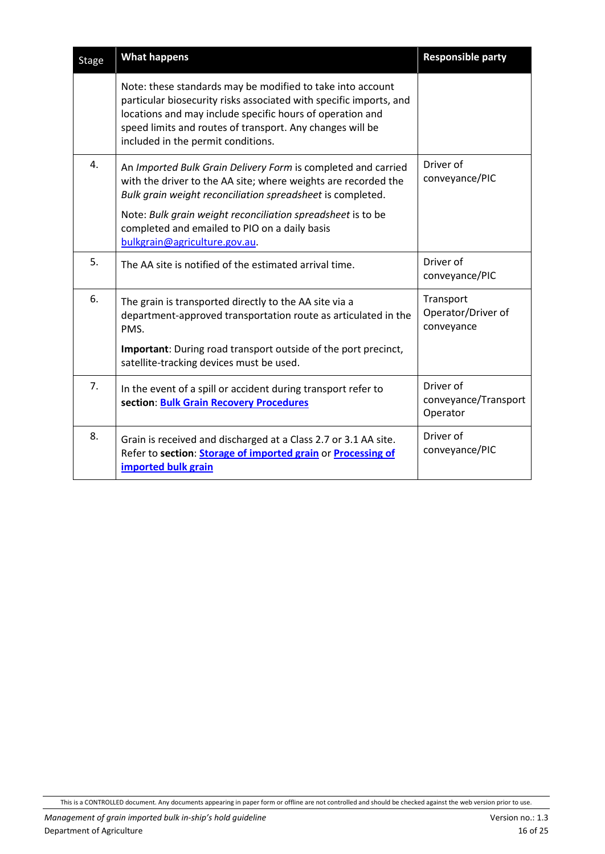| <b>Stage</b> | <b>What happens</b>                                                                                                                                                                                                                                                                              | <b>Responsible party</b>                      |
|--------------|--------------------------------------------------------------------------------------------------------------------------------------------------------------------------------------------------------------------------------------------------------------------------------------------------|-----------------------------------------------|
|              | Note: these standards may be modified to take into account<br>particular biosecurity risks associated with specific imports, and<br>locations and may include specific hours of operation and<br>speed limits and routes of transport. Any changes will be<br>included in the permit conditions. |                                               |
| 4.           | An Imported Bulk Grain Delivery Form is completed and carried<br>with the driver to the AA site; where weights are recorded the<br>Bulk grain weight reconciliation spreadsheet is completed.                                                                                                    | Driver of<br>conveyance/PIC                   |
|              | Note: Bulk grain weight reconciliation spreadsheet is to be<br>completed and emailed to PIO on a daily basis<br>bulkgrain@agriculture.gov.au.                                                                                                                                                    |                                               |
| 5.           | The AA site is notified of the estimated arrival time.                                                                                                                                                                                                                                           | Driver of<br>conveyance/PIC                   |
| 6.           | The grain is transported directly to the AA site via a<br>department-approved transportation route as articulated in the<br>PMS.                                                                                                                                                                 | Transport<br>Operator/Driver of<br>conveyance |
|              | Important: During road transport outside of the port precinct,<br>satellite-tracking devices must be used.                                                                                                                                                                                       |                                               |
| 7.           | In the event of a spill or accident during transport refer to<br>section: Bulk Grain Recovery Procedures                                                                                                                                                                                         | Driver of<br>conveyance/Transport<br>Operator |
| 8.           | Grain is received and discharged at a Class 2.7 or 3.1 AA site.<br>Refer to section: Storage of imported grain or Processing of<br>imported bulk grain                                                                                                                                           | Driver of<br>conveyance/PIC                   |

This is a CONTROLLED document. Any documents appearing in paper form or offline are not controlled and should be checked against the web version prior to use.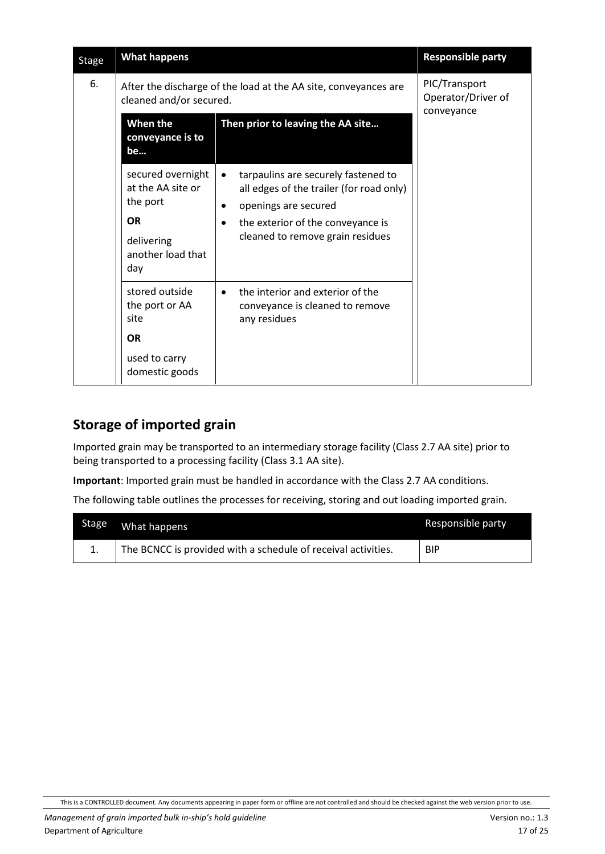| <b>Stage</b> | <b>What happens</b>                                                                                       |                                                                                                                                                                                                                         | <b>Responsible party</b>                          |
|--------------|-----------------------------------------------------------------------------------------------------------|-------------------------------------------------------------------------------------------------------------------------------------------------------------------------------------------------------------------------|---------------------------------------------------|
| 6.           | cleaned and/or secured.                                                                                   | After the discharge of the load at the AA site, conveyances are                                                                                                                                                         | PIC/Transport<br>Operator/Driver of<br>conveyance |
|              | When the<br>conveyance is to<br>be                                                                        | Then prior to leaving the AA site                                                                                                                                                                                       |                                                   |
|              | secured overnight<br>at the AA site or<br>the port<br><b>OR</b><br>delivering<br>another load that<br>day | tarpaulins are securely fastened to<br>$\bullet$<br>all edges of the trailer (for road only)<br>openings are secured<br>$\bullet$<br>the exterior of the conveyance is<br>$\bullet$<br>cleaned to remove grain residues |                                                   |
|              | stored outside<br>the port or AA<br>site<br><b>OR</b><br>used to carry<br>domestic goods                  | the interior and exterior of the<br>$\bullet$<br>conveyance is cleaned to remove<br>any residues                                                                                                                        |                                                   |

#### <span id="page-16-0"></span>**Storage of imported grain**

Imported grain may be transported to an intermediary storage facility (Class 2.7 AA site) prior to being transported to a processing facility (Class 3.1 AA site).

**Important**: Imported grain must be handled in accordance with the Class 2.7 AA conditions.

The following table outlines the processes for receiving, storing and out loading imported grain.

| <b>Stage</b> | What happens                                                  | Responsible party |
|--------------|---------------------------------------------------------------|-------------------|
|              | The BCNCC is provided with a schedule of receival activities. | <b>BIP</b>        |

This is a CONTROLLED document. Any documents appearing in paper form or offline are not controlled and should be checked against the web version prior to use.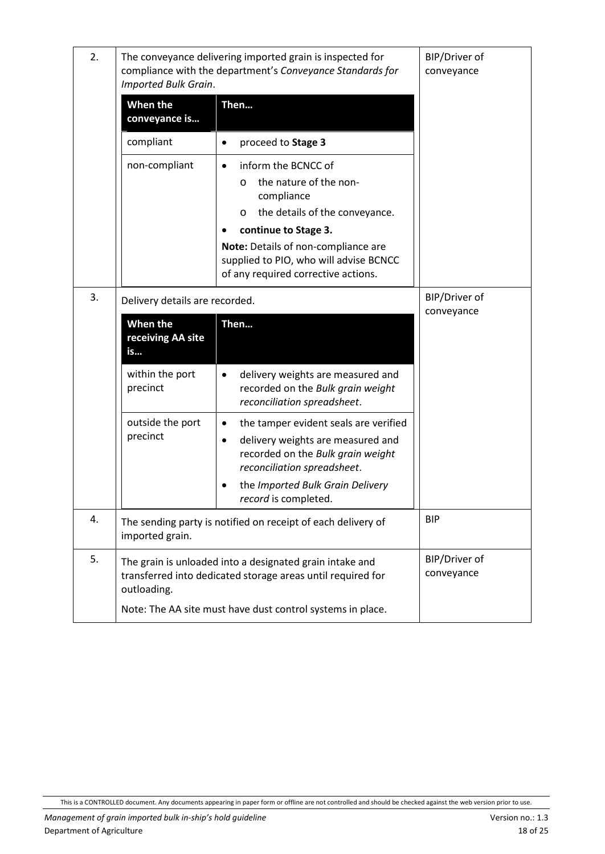| 2. | Imported Bulk Grain.                | The conveyance delivering imported grain is inspected for<br>compliance with the department's Conveyance Standards for                                                                                                                                               | BIP/Driver of<br>conveyance |
|----|-------------------------------------|----------------------------------------------------------------------------------------------------------------------------------------------------------------------------------------------------------------------------------------------------------------------|-----------------------------|
|    | When the<br>conveyance is           | Then                                                                                                                                                                                                                                                                 |                             |
|    | compliant                           | proceed to Stage 3<br>$\bullet$                                                                                                                                                                                                                                      |                             |
|    | non-compliant                       | inform the BCNCC of<br>$\bullet$<br>the nature of the non-<br>O<br>compliance<br>the details of the conveyance.<br>O<br>continue to Stage 3.<br>Note: Details of non-compliance are<br>supplied to PIO, who will advise BCNCC<br>of any required corrective actions. |                             |
| 3. | Delivery details are recorded.      |                                                                                                                                                                                                                                                                      | BIP/Driver of<br>conveyance |
|    | When the<br>receiving AA site<br>is | Then                                                                                                                                                                                                                                                                 |                             |
|    | within the port<br>precinct         | delivery weights are measured and<br>$\bullet$<br>recorded on the Bulk grain weight<br>reconciliation spreadsheet.                                                                                                                                                   |                             |
|    | outside the port<br>precinct        | the tamper evident seals are verified<br>٠<br>delivery weights are measured and<br>$\bullet$<br>recorded on the Bulk grain weight<br>reconciliation spreadsheet.<br>the Imported Bulk Grain Delivery<br>record is completed.                                         |                             |
| 4. | imported grain.                     | The sending party is notified on receipt of each delivery of                                                                                                                                                                                                         | <b>BIP</b>                  |
| 5. | outloading.                         | The grain is unloaded into a designated grain intake and<br>transferred into dedicated storage areas until required for                                                                                                                                              | BIP/Driver of<br>conveyance |
|    |                                     | Note: The AA site must have dust control systems in place.                                                                                                                                                                                                           |                             |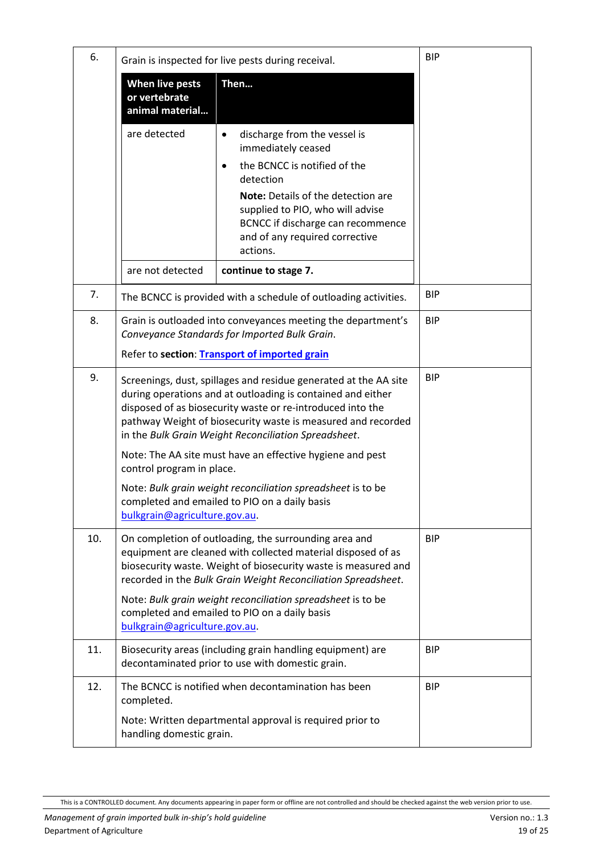| 6.  |                                                                                                                                               | Grain is inspected for live pests during receival.                                                                                                                                                                                                                                                                    | <b>BIP</b> |
|-----|-----------------------------------------------------------------------------------------------------------------------------------------------|-----------------------------------------------------------------------------------------------------------------------------------------------------------------------------------------------------------------------------------------------------------------------------------------------------------------------|------------|
|     | <b>When live pests</b><br>or vertebrate<br>animal material                                                                                    | Then                                                                                                                                                                                                                                                                                                                  |            |
|     | are detected                                                                                                                                  | discharge from the vessel is<br>$\bullet$<br>immediately ceased<br>the BCNCC is notified of the<br>$\bullet$                                                                                                                                                                                                          |            |
|     |                                                                                                                                               | detection                                                                                                                                                                                                                                                                                                             |            |
|     |                                                                                                                                               | Note: Details of the detection are<br>supplied to PIO, who will advise<br>BCNCC if discharge can recommence<br>and of any required corrective<br>actions.                                                                                                                                                             |            |
|     | are not detected                                                                                                                              | continue to stage 7.                                                                                                                                                                                                                                                                                                  |            |
| 7.  |                                                                                                                                               | The BCNCC is provided with a schedule of outloading activities.                                                                                                                                                                                                                                                       | <b>BIP</b> |
| 8.  |                                                                                                                                               | Grain is outloaded into conveyances meeting the department's<br>Conveyance Standards for Imported Bulk Grain.                                                                                                                                                                                                         | <b>BIP</b> |
|     |                                                                                                                                               | Refer to section: Transport of imported grain                                                                                                                                                                                                                                                                         |            |
| 9.  |                                                                                                                                               | Screenings, dust, spillages and residue generated at the AA site<br>during operations and at outloading is contained and either<br>disposed of as biosecurity waste or re-introduced into the<br>pathway Weight of biosecurity waste is measured and recorded<br>in the Bulk Grain Weight Reconciliation Spreadsheet. | <b>BIP</b> |
|     | control program in place.                                                                                                                     | Note: The AA site must have an effective hygiene and pest                                                                                                                                                                                                                                                             |            |
|     | bulkgrain@agriculture.gov.au.                                                                                                                 | Note: Bulk grain weight reconciliation spreadsheet is to be<br>completed and emailed to PIO on a daily basis                                                                                                                                                                                                          |            |
| 10. |                                                                                                                                               | On completion of outloading, the surrounding area and<br>equipment are cleaned with collected material disposed of as<br>biosecurity waste. Weight of biosecurity waste is measured and<br>recorded in the Bulk Grain Weight Reconciliation Spreadsheet.                                                              | <b>BIP</b> |
|     | Note: Bulk grain weight reconciliation spreadsheet is to be<br>completed and emailed to PIO on a daily basis<br>bulkgrain@agriculture.gov.au. |                                                                                                                                                                                                                                                                                                                       |            |
| 11. |                                                                                                                                               | Biosecurity areas (including grain handling equipment) are<br>decontaminated prior to use with domestic grain.                                                                                                                                                                                                        | <b>BIP</b> |
| 12. | completed.                                                                                                                                    | The BCNCC is notified when decontamination has been                                                                                                                                                                                                                                                                   | <b>BIP</b> |
|     | handling domestic grain.                                                                                                                      | Note: Written departmental approval is required prior to                                                                                                                                                                                                                                                              |            |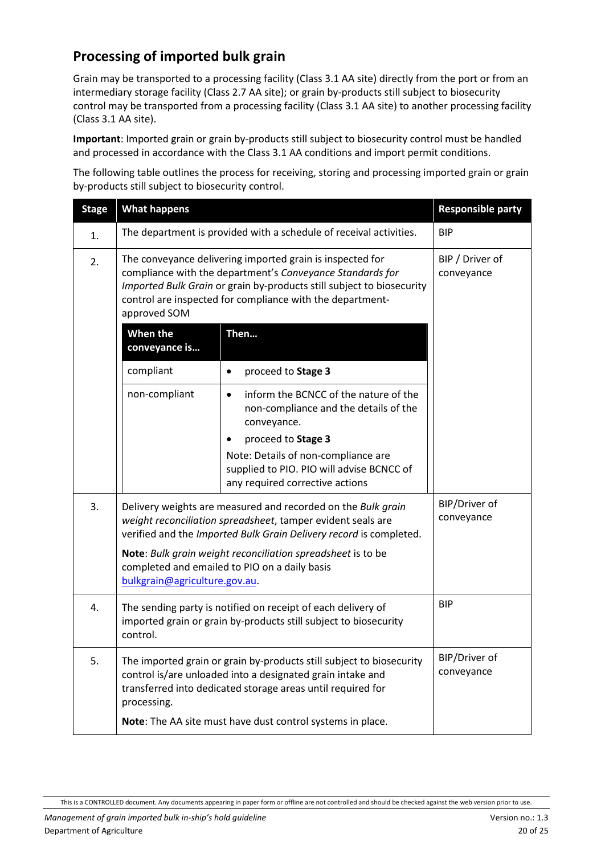#### <span id="page-19-0"></span>**Processing of imported bulk grain**

Grain may be transported to a processing facility (Class 3.1 AA site) directly from the port or from an intermediary storage facility (Class 2.7 AA site); or grain by-products still subject to biosecurity control may be transported from a processing facility (Class 3.1 AA site) to another processing facility (Class 3.1 AA site).

**Important**: Imported grain or grain by-products still subject to biosecurity control must be handled and processed in accordance with the Class 3.1 AA conditions and import permit conditions.

The following table outlines the process for receiving, storing and processing imported grain or grain by-products still subject to biosecurity control.

| <b>Stage</b> | <b>Responsible party</b><br><b>What happens</b>                                                                                                                                                                                                                                |                                                                                                                                                                                                                                                         |                               |
|--------------|--------------------------------------------------------------------------------------------------------------------------------------------------------------------------------------------------------------------------------------------------------------------------------|---------------------------------------------------------------------------------------------------------------------------------------------------------------------------------------------------------------------------------------------------------|-------------------------------|
| 1.           |                                                                                                                                                                                                                                                                                | The department is provided with a schedule of receival activities.                                                                                                                                                                                      | <b>BIP</b>                    |
| 2.           | The conveyance delivering imported grain is inspected for<br>compliance with the department's Conveyance Standards for<br>Imported Bulk Grain or grain by-products still subject to biosecurity<br>control are inspected for compliance with the department-<br>approved SOM   |                                                                                                                                                                                                                                                         | BIP / Driver of<br>conveyance |
|              | When the<br>conveyance is                                                                                                                                                                                                                                                      | Then                                                                                                                                                                                                                                                    |                               |
|              | compliant                                                                                                                                                                                                                                                                      | proceed to Stage 3<br>$\bullet$                                                                                                                                                                                                                         |                               |
|              | non-compliant                                                                                                                                                                                                                                                                  | inform the BCNCC of the nature of the<br>$\bullet$<br>non-compliance and the details of the<br>conveyance.<br>proceed to Stage 3<br>Note: Details of non-compliance are<br>supplied to PIO. PIO will advise BCNCC of<br>any required corrective actions |                               |
| 3.           |                                                                                                                                                                                                                                                                                | Delivery weights are measured and recorded on the Bulk grain<br>weight reconciliation spreadsheet, tamper evident seals are<br>verified and the Imported Bulk Grain Delivery record is completed.                                                       | BIP/Driver of<br>conveyance   |
|              | bulkgrain@agriculture.gov.au.                                                                                                                                                                                                                                                  | Note: Bulk grain weight reconciliation spreadsheet is to be<br>completed and emailed to PIO on a daily basis                                                                                                                                            |                               |
| 4.           | <b>BIP</b><br>The sending party is notified on receipt of each delivery of<br>imported grain or grain by-products still subject to biosecurity<br>control.                                                                                                                     |                                                                                                                                                                                                                                                         |                               |
| 5.           | The imported grain or grain by-products still subject to biosecurity<br>control is/are unloaded into a designated grain intake and<br>transferred into dedicated storage areas until required for<br>processing.<br>Note: The AA site must have dust control systems in place. |                                                                                                                                                                                                                                                         | BIP/Driver of<br>conveyance   |
|              |                                                                                                                                                                                                                                                                                |                                                                                                                                                                                                                                                         |                               |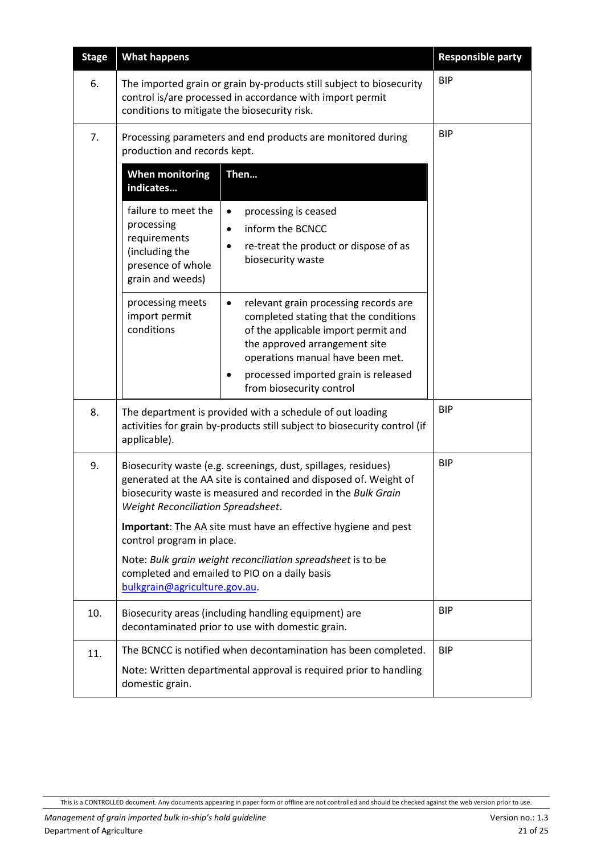<span id="page-20-0"></span>

| <b>Stage</b> | <b>What happens</b>                                                                                                    |                                                                                                                                                                                                                                                                             | <b>Responsible party</b> |
|--------------|------------------------------------------------------------------------------------------------------------------------|-----------------------------------------------------------------------------------------------------------------------------------------------------------------------------------------------------------------------------------------------------------------------------|--------------------------|
| 6.           | conditions to mitigate the biosecurity risk.                                                                           | The imported grain or grain by-products still subject to biosecurity<br>control is/are processed in accordance with import permit                                                                                                                                           | <b>BIP</b>               |
| 7.           | Processing parameters and end products are monitored during<br>production and records kept.                            |                                                                                                                                                                                                                                                                             | <b>BIP</b>               |
|              | <b>When monitoring</b><br>indicates                                                                                    | Then                                                                                                                                                                                                                                                                        |                          |
|              | failure to meet the<br>processing<br>requirements<br>(including the<br>presence of whole<br>grain and weeds)           | processing is ceased<br>$\bullet$<br>inform the BCNCC<br>$\bullet$<br>re-treat the product or dispose of as<br>biosecurity waste                                                                                                                                            |                          |
|              | processing meets<br>import permit<br>conditions                                                                        | relevant grain processing records are<br>$\bullet$<br>completed stating that the conditions<br>of the applicable import permit and<br>the approved arrangement site<br>operations manual have been met.<br>processed imported grain is released<br>from biosecurity control |                          |
| 8.           | applicable).                                                                                                           | The department is provided with a schedule of out loading<br>activities for grain by-products still subject to biosecurity control (if                                                                                                                                      | <b>BIP</b>               |
| 9.           | Weight Reconciliation Spreadsheet.                                                                                     | Biosecurity waste (e.g. screenings, dust, spillages, residues)<br>generated at the AA site is contained and disposed of. Weight of<br>biosecurity waste is measured and recorded in the Bulk Grain                                                                          | <b>BIP</b>               |
|              | control program in place.                                                                                              | Important: The AA site must have an effective hygiene and pest                                                                                                                                                                                                              |                          |
|              | bulkgrain@agriculture.gov.au.                                                                                          | Note: Bulk grain weight reconciliation spreadsheet is to be<br>completed and emailed to PIO on a daily basis                                                                                                                                                                |                          |
| 10.          | <b>BIP</b><br>Biosecurity areas (including handling equipment) are<br>decontaminated prior to use with domestic grain. |                                                                                                                                                                                                                                                                             |                          |
| 11.          |                                                                                                                        | The BCNCC is notified when decontamination has been completed.                                                                                                                                                                                                              | <b>BIP</b>               |
|              | Note: Written departmental approval is required prior to handling<br>domestic grain.                                   |                                                                                                                                                                                                                                                                             |                          |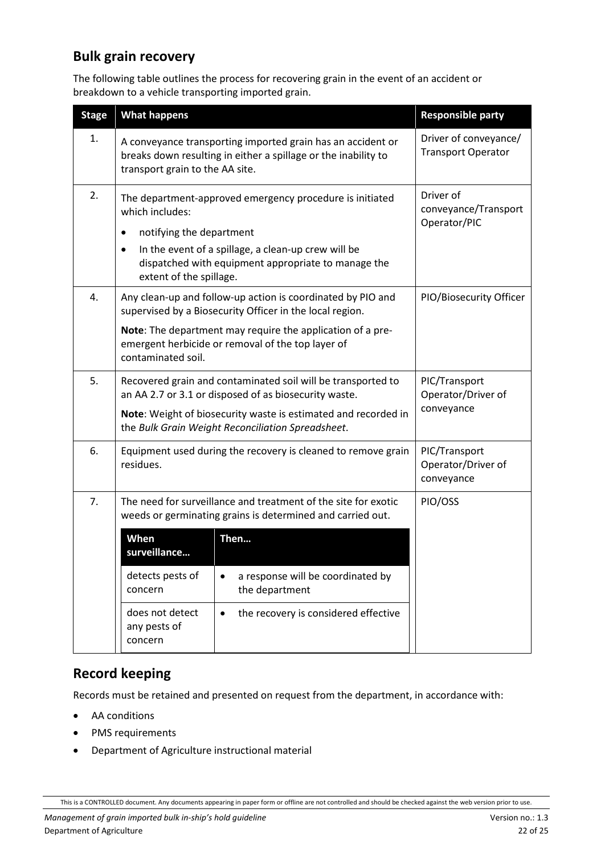### <span id="page-21-0"></span>**Bulk grain recovery**

The following table outlines the process for recovering grain in the event of an accident or breakdown to a vehicle transporting imported grain.

| <b>What happens</b>                                                                                                                                                                                                                                                |                                                                                             | <b>Responsible party</b>                                                                                                                                                                                                                                                                                                                                                                                     |
|--------------------------------------------------------------------------------------------------------------------------------------------------------------------------------------------------------------------------------------------------------------------|---------------------------------------------------------------------------------------------|--------------------------------------------------------------------------------------------------------------------------------------------------------------------------------------------------------------------------------------------------------------------------------------------------------------------------------------------------------------------------------------------------------------|
| A conveyance transporting imported grain has an accident or<br>breaks down resulting in either a spillage or the inability to<br>transport grain to the AA site.                                                                                                   |                                                                                             | Driver of conveyance/<br><b>Transport Operator</b>                                                                                                                                                                                                                                                                                                                                                           |
| The department-approved emergency procedure is initiated<br>which includes:<br>notifying the department<br>٠<br>In the event of a spillage, a clean-up crew will be<br>$\bullet$<br>dispatched with equipment appropriate to manage the<br>extent of the spillage. |                                                                                             | Driver of<br>conveyance/Transport<br>Operator/PIC                                                                                                                                                                                                                                                                                                                                                            |
| contaminated soil.                                                                                                                                                                                                                                                 |                                                                                             | PIO/Biosecurity Officer                                                                                                                                                                                                                                                                                                                                                                                      |
| Recovered grain and contaminated soil will be transported to<br>an AA 2.7 or 3.1 or disposed of as biosecurity waste.<br>Note: Weight of biosecurity waste is estimated and recorded in<br>the Bulk Grain Weight Reconciliation Spreadsheet.                       |                                                                                             | PIC/Transport<br>Operator/Driver of<br>conveyance                                                                                                                                                                                                                                                                                                                                                            |
| Equipment used during the recovery is cleaned to remove grain<br>residues.                                                                                                                                                                                         |                                                                                             | PIC/Transport<br>Operator/Driver of<br>conveyance                                                                                                                                                                                                                                                                                                                                                            |
| When<br>surveillance<br>detects pests of<br>concern<br>does not detect<br>any pests of                                                                                                                                                                             | a response will be coordinated by<br>the department<br>the recovery is considered effective | PIO/OSS                                                                                                                                                                                                                                                                                                                                                                                                      |
|                                                                                                                                                                                                                                                                    | concern                                                                                     | Any clean-up and follow-up action is coordinated by PIO and<br>supervised by a Biosecurity Officer in the local region.<br>Note: The department may require the application of a pre-<br>emergent herbicide or removal of the top layer of<br>The need for surveillance and treatment of the site for exotic<br>weeds or germinating grains is determined and carried out.<br>Then<br>$\bullet$<br>$\bullet$ |

#### <span id="page-21-1"></span>**Record keeping**

Records must be retained and presented on request from the department, in accordance with:

- AA conditions
- PMS requirements
- Department of Agriculture instructional material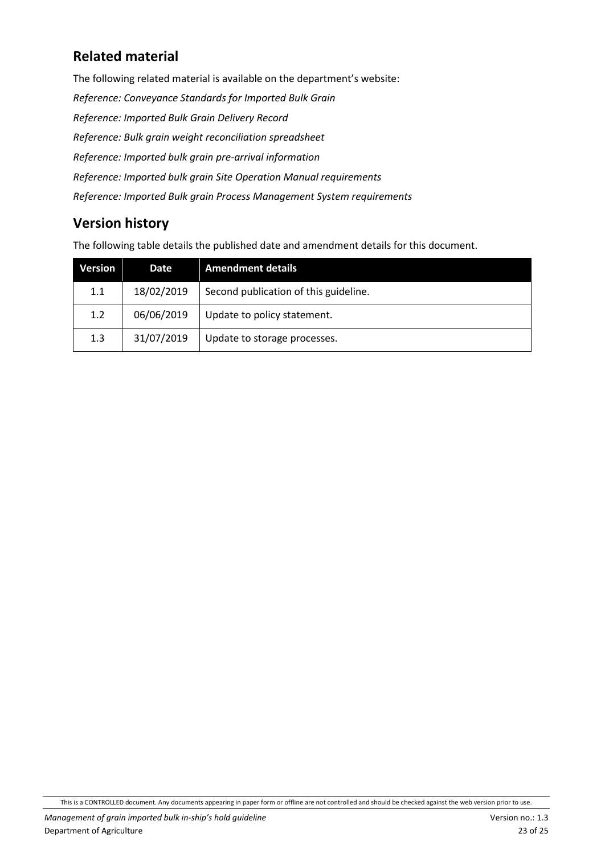## <span id="page-22-0"></span>**Related material**

The following related material is available on the department's website: *Reference: Conveyance Standards for Imported Bulk Grain Reference: Imported Bulk Grain Delivery Record Reference: Bulk grain weight reconciliation spreadsheet Reference: Imported bulk grain pre-arrival information Reference: Imported bulk grain Site Operation Manual requirements Reference: Imported Bulk grain Process Management System requirements* 

#### <span id="page-22-1"></span>**Version history**

The following table details the published date and amendment details for this document.

| Version | Date       | <b>Amendment details</b>              |
|---------|------------|---------------------------------------|
| 1.1     | 18/02/2019 | Second publication of this guideline. |
| 1.2     | 06/06/2019 | Update to policy statement.           |
| 1.3     | 31/07/2019 | Update to storage processes.          |